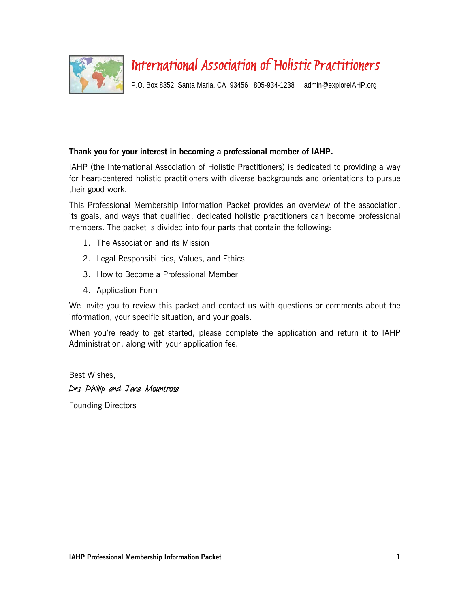

# International Association of Holistic Practitioners

P.O. Box 8352, Santa Maria, CA 93456 805-934-1238 admin@exploreIAHP.org

### **Thank you for your interest in becoming a professional member of IAHP.**

IAHP (the International Association of Holistic Practitioners) is dedicated to providing a way for heart-centered holistic practitioners with diverse backgrounds and orientations to pursue their good work.

This Professional Membership Information Packet provides an overview of the association, its goals, and ways that qualified, dedicated holistic practitioners can become professional members. The packet is divided into four parts that contain the following:

- 1. The Association and its Mission
- 2. Legal Responsibilities, Values, and Ethics
- 3. How to Become a Professional Member
- 4. Application Form

We invite you to review this packet and contact us with questions or comments about the information, your specific situation, and your goals.

When you're ready to get started, please complete the application and return it to IAHP Administration, along with your application fee.

Best Wishes, Drs. Phillip and Jane Mountrose

Founding Directors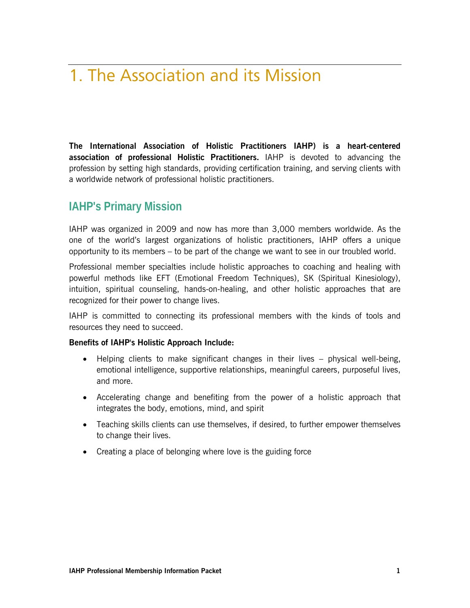# 1. The Association and its Mission

**The International Association of Holistic Practitioners IAHP) is a heart-centered association of professional Holistic Practitioners.** IAHP is devoted to advancing the profession by setting high standards, providing certification training, and serving clients with a worldwide network of professional holistic practitioners.

### **IAHP's Primary Mission**

IAHP was organized in 2009 and now has more than 3,000 members worldwide. As the one of the world's largest organizations of holistic practitioners, IAHP offers a unique opportunity to its members – to be part of the change we want to see in our troubled world.

Professional member specialties include holistic approaches to coaching and healing with powerful methods like EFT (Emotional Freedom Techniques), SK (Spiritual Kinesiology), intuition, spiritual counseling, hands-on-healing, and other holistic approaches that are recognized for their power to change lives.

IAHP is committed to connecting its professional members with the kinds of tools and resources they need to succeed.

### **Benefits of IAHP's Holistic Approach Include:**

- Helping clients to make significant changes in their lives physical well-being, emotional intelligence, supportive relationships, meaningful careers, purposeful lives, and more.
- Accelerating change and benefiting from the power of a holistic approach that integrates the body, emotions, mind, and spirit
- Teaching skills clients can use themselves, if desired, to further empower themselves to change their lives.
- Creating a place of belonging where love is the guiding force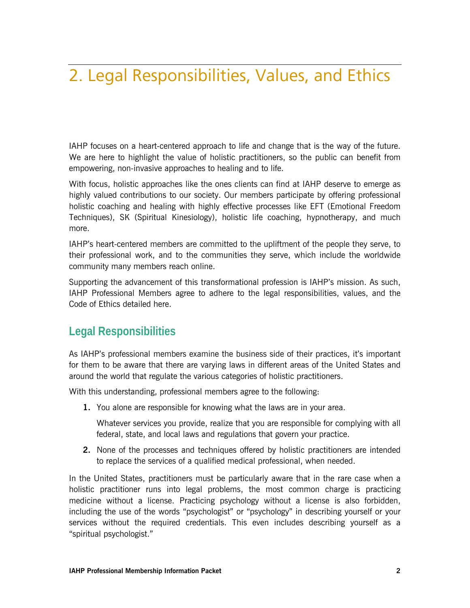# 2. Legal Responsibilities, Values, and Ethics

IAHP focuses on a heart-centered approach to life and change that is the way of the future. We are here to highlight the value of holistic practitioners, so the public can benefit from empowering, non-invasive approaches to healing and to life.

With focus, holistic approaches like the ones clients can find at IAHP deserve to emerge as highly valued contributions to our society. Our members participate by offering professional holistic coaching and healing with highly effective processes like EFT (Emotional Freedom Techniques), SK (Spiritual Kinesiology), holistic life coaching, hypnotherapy, and much more.

IAHP's heart-centered members are committed to the upliftment of the people they serve, to their professional work, and to the communities they serve, which include the worldwide community many members reach online.

Supporting the advancement of this transformational profession is IAHP's mission. As such, IAHP Professional Members agree to adhere to the legal responsibilities, values, and the Code of Ethics detailed here.

### **Legal Responsibilities**

As IAHP's professional members examine the business side of their practices, it's important for them to be aware that there are varying laws in different areas of the United States and around the world that regulate the various categories of holistic practitioners.

With this understanding, professional members agree to the following:

**1.** You alone are responsible for knowing what the laws are in your area.

Whatever services you provide, realize that you are responsible for complying with all federal, state, and local laws and regulations that govern your practice.

**2.** None of the processes and techniques offered by holistic practitioners are intended to replace the services of a qualified medical professional, when needed.

In the United States, practitioners must be particularly aware that in the rare case when a holistic practitioner runs into legal problems, the most common charge is practicing medicine without a license. Practicing psychology without a license is also forbidden, including the use of the words "psychologist" or "psychology" in describing yourself or your services without the required credentials. This even includes describing yourself as a "spiritual psychologist."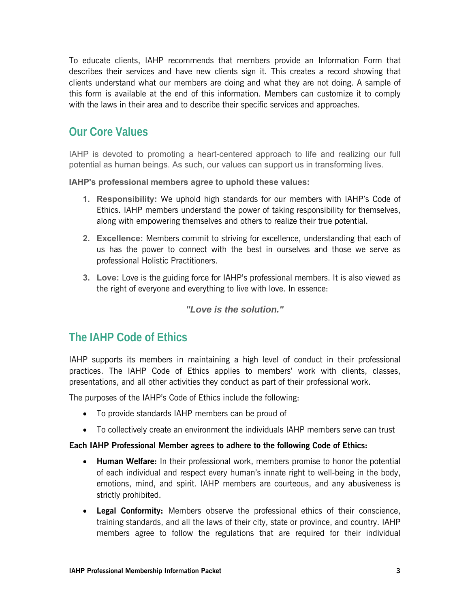To educate clients, IAHP recommends that members provide an Information Form that describes their services and have new clients sign it. This creates a record showing that clients understand what our members are doing and what they are not doing. A sample of this form is available at the end of this information. Members can customize it to comply with the laws in their area and to describe their specific services and approaches.

### **Our Core Values**

IAHP is devoted to promoting a heart-centered approach to life and realizing our full potential as human beings. As such, our values can support us in transforming lives.

**IAHP's professional members agree to uphold these values:**

- **1. Responsibility:** We uphold high standards for our members with IAHP's Code of Ethics. IAHP members understand the power of taking responsibility for themselves, along with empowering themselves and others to realize their true potential.
- **2. Excellence:** Members commit to striving for excellence, understanding that each of us has the power to connect with the best in ourselves and those we serve as professional Holistic Practitioners.
- **3. Love:** Love is the guiding force for IAHP's professional members. It is also viewed as the right of everyone and everything to live with love. In essence:

### *"Love is the solution."*

### **The IAHP Code of Ethics**

IAHP supports its members in maintaining a high level of conduct in their professional practices. The IAHP Code of Ethics applies to members' work with clients, classes, presentations, and all other activities they conduct as part of their professional work.

The purposes of the IAHP's Code of Ethics include the following:

- To provide standards IAHP members can be proud of
- To collectively create an environment the individuals IAHP members serve can trust

### **Each IAHP Professional Member agrees to adhere to the following Code of Ethics:**

- **Human Welfare:** In their professional work, members promise to honor the potential of each individual and respect every human's innate right to well-being in the body, emotions, mind, and spirit. IAHP members are courteous, and any abusiveness is strictly prohibited.
- **Legal Conformity:** Members observe the professional ethics of their conscience, training standards, and all the laws of their city, state or province, and country. IAHP members agree to follow the regulations that are required for their individual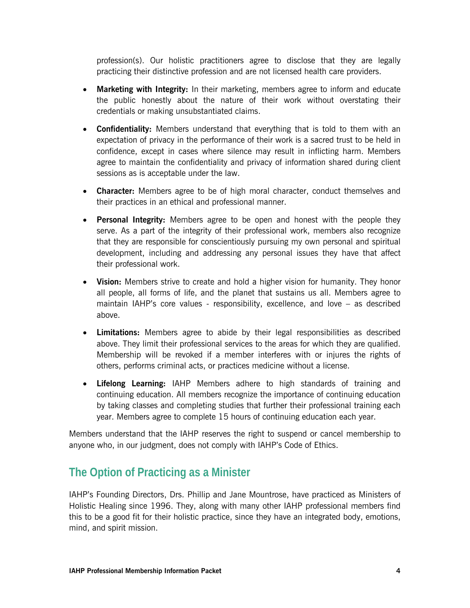profession(s). Our holistic practitioners agree to disclose that they are legally practicing their distinctive profession and are not licensed health care providers.

- **Marketing with Integrity:** In their marketing, members agree to inform and educate the public honestly about the nature of their work without overstating their credentials or making unsubstantiated claims.
- **Confidentiality:** Members understand that everything that is told to them with an expectation of privacy in the performance of their work is a sacred trust to be held in confidence, except in cases where silence may result in inflicting harm. Members agree to maintain the confidentiality and privacy of information shared during client sessions as is acceptable under the law.
- **Character:** Members agree to be of high moral character, conduct themselves and their practices in an ethical and professional manner.
- **Personal Integrity:** Members agree to be open and honest with the people they serve. As a part of the integrity of their professional work, members also recognize that they are responsible for conscientiously pursuing my own personal and spiritual development, including and addressing any personal issues they have that affect their professional work.
- **Vision:** Members strive to create and hold a higher vision for humanity. They honor all people, all forms of life, and the planet that sustains us all. Members agree to maintain IAHP's core values - responsibility, excellence, and love – as described above.
- **Limitations:** Members agree to abide by their legal responsibilities as described above. They limit their professional services to the areas for which they are qualified. Membership will be revoked if a member interferes with or injures the rights of others, performs criminal acts, or practices medicine without a license.
- **Lifelong Learning:** IAHP Members adhere to high standards of training and continuing education. All members recognize the importance of continuing education by taking classes and completing studies that further their professional training each year. Members agree to complete 15 hours of continuing education each year.

Members understand that the IAHP reserves the right to suspend or cancel membership to anyone who, in our judgment, does not comply with IAHP's Code of Ethics.

### **The Option of Practicing as a Minister**

IAHP's Founding Directors, Drs. Phillip and Jane Mountrose, have practiced as Ministers of Holistic Healing since 1996. They, along with many other IAHP professional members find this to be a good fit for their holistic practice, since they have an integrated body, emotions, mind, and spirit mission.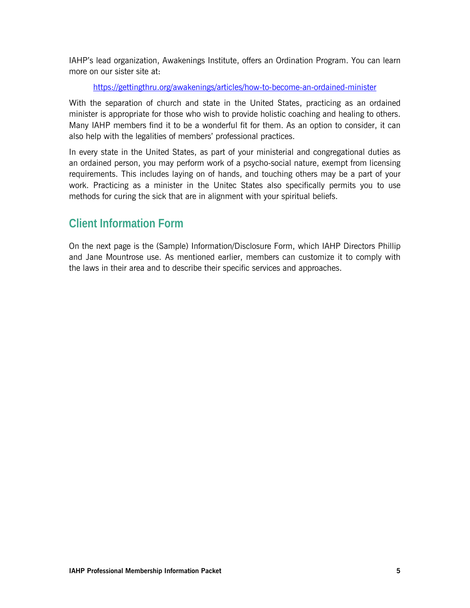IAHP's lead organization, Awakenings Institute, offers an Ordination Program. You can learn more on our sister site at:

https://gettingthru.org/awakenings/articles/how-to-become-an-ordained-minister

With the separation of church and state in the United States, practicing as an ordained minister is appropriate for those who wish to provide holistic coaching and healing to others. Many IAHP members find it to be a wonderful fit for them. As an option to consider, it can also help with the legalities of members' professional practices.

In every state in the United States, as part of your ministerial and congregational duties as an ordained person, you may perform work of a psycho-social nature, exempt from licensing requirements. This includes laying on of hands, and touching others may be a part of your work. Practicing as a minister in the Unitec States also specifically permits you to use methods for curing the sick that are in alignment with your spiritual beliefs.

## **Client Information Form**

On the next page is the (Sample) Information/Disclosure Form, which IAHP Directors Phillip and Jane Mountrose use. As mentioned earlier, members can customize it to comply with the laws in their area and to describe their specific services and approaches.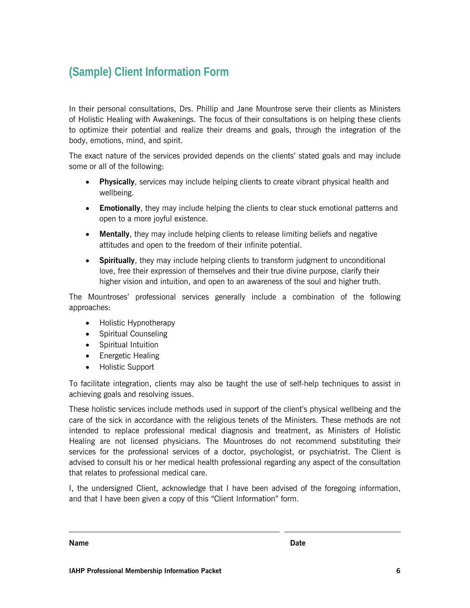# **(Sample) Client Information Form**

In their personal consultations, Drs. Phillip and Jane Mountrose serve their clients as Ministers of Holistic Healing with Awakenings. The focus of their consultations is on helping these clients to optimize their potential and realize their dreams and goals, through the integration of the body, emotions, mind, and spirit.

The exact nature of the services provided depends on the clients' stated goals and may include some or all of the following:

- **Physically**, services may include helping clients to create vibrant physical health and wellbeing.
- **Emotionally**, they may include helping the clients to clear stuck emotional patterns and open to a more joyful existence.
- **Mentally**, they may include helping clients to release limiting beliefs and negative attitudes and open to the freedom of their infinite potential.
- **Spiritually**, they may include helping clients to transform judgment to unconditional love, free their expression of themselves and their true divine purpose, clarify their higher vision and intuition, and open to an awareness of the soul and higher truth.

The Mountroses' professional services generally include a combination of the following approaches:

- Holistic Hypnotherapy
- Spiritual Counseling
- Spiritual Intuition
- Energetic Healing
- Holistic Support

To facilitate integration, clients may also be taught the use of self-help techniques to assist in achieving goals and resolving issues.

These holistic services include methods used in support of the client's physical wellbeing and the care of the sick in accordance with the religious tenets of the Ministers. These methods are not intended to replace professional medical diagnosis and treatment, as Ministers of Holistic Healing are not licensed physicians. The Mountroses do not recommend substituting their services for the professional services of a doctor, psychologist, or psychiatrist. The Client is advised to consult his or her medical health professional regarding any aspect of the consultation that relates to professional medical care.

I, the undersigned Client, acknowledge that I have been advised of the foregoing information, and that I have been given a copy of this "Client Information" form.

**Name** Date **Date** 

 $\overline{\phantom{a}}$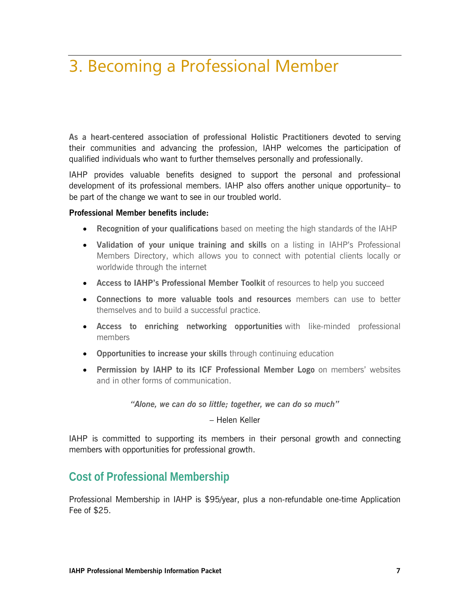# 3. Becoming a Professional Member

**As a heart-centered association of professional Holistic Practitioners** devoted to serving their communities and advancing the profession, IAHP welcomes the participation of qualified individuals who want to further themselves personally and professionally.

IAHP provides valuable benefits designed to support the personal and professional development of its professional members. IAHP also offers another unique opportunity– to be part of the change we want to see in our troubled world.

#### **Professional Member benefits include:**

- **Recognition of your qualifications** based on meeting the high standards of the IAHP
- **Validation of your unique training and skills** on a listing in IAHP's Professional Members Directory, which allows you to connect with potential clients locally or worldwide through the internet
- **Access to IAHP's Professional Member Toolkit** of resources to help you succeed
- **Connections to more valuable tools and resources** members can use to better themselves and to build a successful practice.
- **Access to enriching networking opportunities** with like-minded professional members
- **Opportunities to increase your skills** through continuing education
- **Permission by IAHP to its ICF Professional Member Logo** on members' websites and in other forms of communication.

*"Alone, we can do so little; together, we can do so much"*

– Helen Keller

IAHP is committed to supporting its members in their personal growth and connecting members with opportunities for professional growth.

### **Cost of Professional Membership**

Professional Membership in IAHP is \$95/year, plus a non-refundable one-time Application Fee of \$25.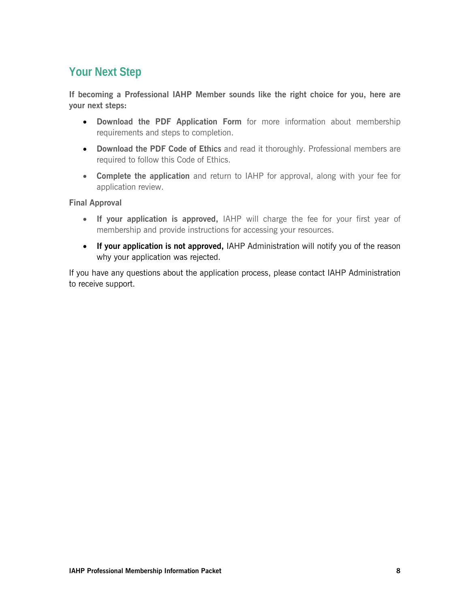## **Your Next Step**

**If becoming a Professional IAHP Member sounds like the right choice for you, here are your next steps:**

- **Download the PDF Application Form** for more information about membership requirements and steps to completion.
- **Download the PDF Code of Ethics** and read it thoroughly. Professional members are required to follow this Code of Ethics.
- **Complete the application** and return to IAHP for approval, along with your fee for application review.

### **Final Approval**

- **If your application is approved,** IAHP will charge the fee for your first year of membership and provide instructions for accessing your resources.
- **If your application is not approved,** IAHP Administration will notify you of the reason why your application was rejected.

If you have any questions about the application process, please contact IAHP Administration to receive support.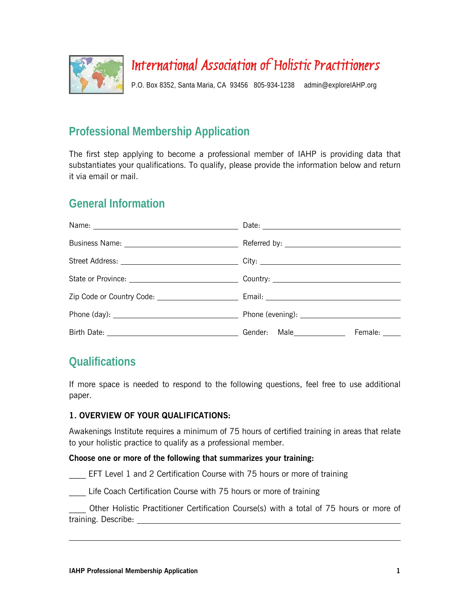

# International Association of Holistic Practitioners

P.O. Box 8352, Santa Maria, CA 93456 805-934-1238 admin@exploreIAHP.org

## **Professional Membership Application**

The first step applying to become a professional member of IAHP is providing data that substantiates your qualifications. To qualify, please provide the information below and return it via email or mail.

## **General Information**

| Female: _____ |  |
|---------------|--|

## **Qualifications**

If more space is needed to respond to the following questions, feel free to use additional paper.

### **1. OVERVIEW OF YOUR QUALIFICATIONS:**

Awakenings Institute requires a minimum of 75 hours of certified training in areas that relate to your holistic practice to qualify as a professional member.

### **Choose one or more of the following that summarizes your training:**

EFT Level 1 and 2 Certification Course with 75 hours or more of training

Life Coach Certification Course with 75 hours or more of training

\_\_\_\_ Other Holistic Practitioner Certification Course(s) with a total of 75 hours or more of training. Describe: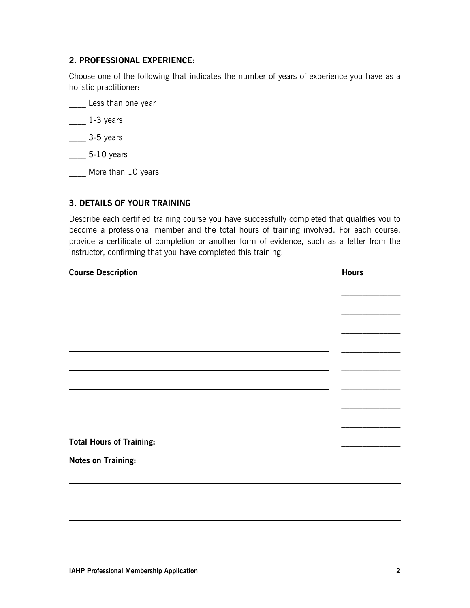#### **2. PROFESSIONAL EXPERIENCE:**

Choose one of the following that indicates the number of years of experience you have as a holistic practitioner:

Less than one year

\_\_\_\_ 1-3 years

\_\_\_\_ 3-5 years

\_\_\_\_ 5-10 years

\_\_\_\_ More than 10 years

### **3. DETAILS OF YOUR TRAINING**

Describe each certified training course you have successfully completed that qualifies you to become a professional member and the total hours of training involved. For each course, provide a certificate of completion or another form of evidence, such as a letter from the instructor, confirming that you have completed this training.

| <b>Course Description</b>       | <b>Hours</b> |
|---------------------------------|--------------|
|                                 |              |
|                                 |              |
|                                 |              |
|                                 |              |
|                                 |              |
|                                 |              |
|                                 |              |
|                                 |              |
| <b>Total Hours of Training:</b> |              |
| <b>Notes on Training:</b>       |              |
|                                 |              |
|                                 |              |
|                                 |              |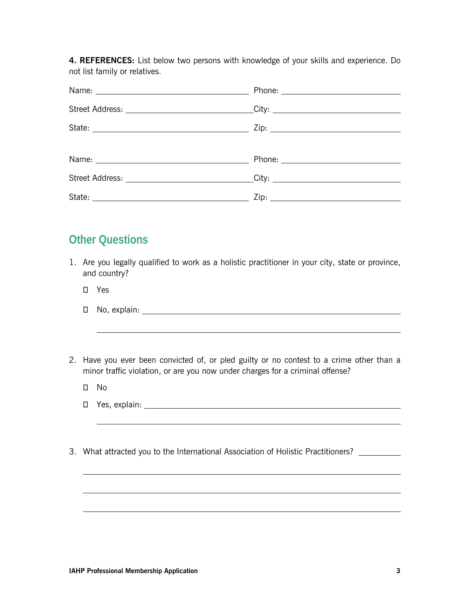**4. REFERENCES:** List below two persons with knowledge of your skills and experience. Do not list family or relatives.

| Name: Name and the service of the service of the service of the service of the service of the service of the service of the service of the service of the service of the service of the service of the service of the service |                                                                                  |  |
|-------------------------------------------------------------------------------------------------------------------------------------------------------------------------------------------------------------------------------|----------------------------------------------------------------------------------|--|
|                                                                                                                                                                                                                               | Street Address: _______________________________City: ___________________________ |  |
|                                                                                                                                                                                                                               |                                                                                  |  |
|                                                                                                                                                                                                                               |                                                                                  |  |
|                                                                                                                                                                                                                               |                                                                                  |  |
|                                                                                                                                                                                                                               | Street Address: _______________________________City: ___________________________ |  |
|                                                                                                                                                                                                                               |                                                                                  |  |

### **Other Questions**

- 1. Are you legally qualified to work as a holistic practitioner in your city, state or province, and country?
	- Yes
	- No, explain:
- 2. Have you ever been convicted of, or pled guilty or no contest to a crime other than a minor traffic violation, or are you now under charges for a criminal offense?
	- No
	- Yes, explain:
- 3. What attracted you to the International Association of Holistic Practitioners? \_\_\_\_\_\_\_\_\_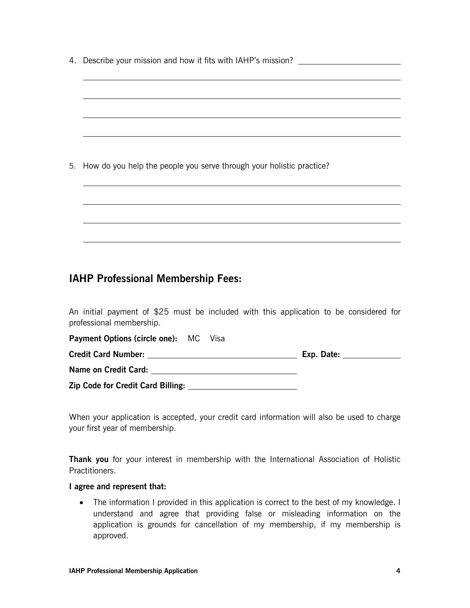4. Describe your mission and how it fits with IAHP's mission?

| 5. How do you help the people you serve through your holistic practice? |  |
|-------------------------------------------------------------------------|--|
|                                                                         |  |

### **IAHP Professional Membership Fees:**

An initial payment of \$25 must be included with this application to be considered for professional membership.

| <b>Payment Options (circle one):</b> MC Visa |            |
|----------------------------------------------|------------|
| <b>Credit Card Number:</b>                   | Exp. Date: |
| Name on Credit Card:                         |            |
| <b>Zip Code for Credit Card Billing:</b>     |            |

When your application is accepted, your credit card information will also be used to charge your first year of membership.

**Thank you** for your interest in membership with the International Association of Holistic Practitioners.

#### **I agree and represent that:**

• The information I provided in this application is correct to the best of my knowledge. I understand and agree that providing false or misleading information on the application is grounds for cancellation of my membership, if my membership is approved.